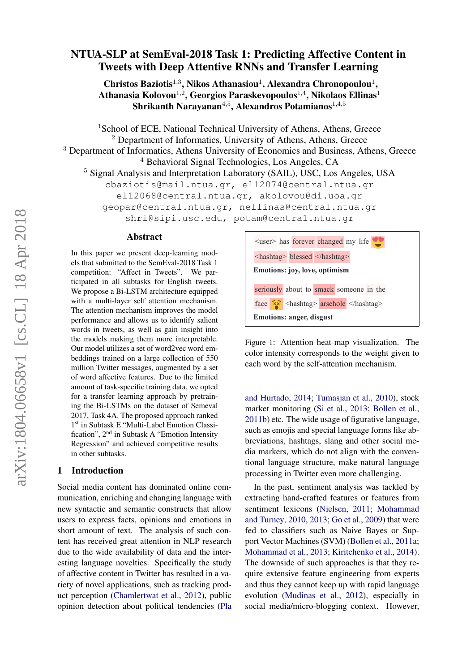# NTUA-SLP at SemEval-2018 Task 1: Predicting Affective Content in Tweets with Deep Attentive RNNs and Transfer Learning

Christos Baziotis<sup>1,3</sup>, Nikos Athanasiou<sup>1</sup>, Alexandra Chronopoulou<sup>1</sup>, Athanasia Kolovou $^{1,2}$ , Georgios Paraskevopoulos $^{1,4}$ , Nikolaos Ellinas $^1$ Shrikanth Narayanan $^{4,5}$ , Alexandros Potamianos $^{1,4,5}$ 

<sup>1</sup>School of ECE, National Technical University of Athens, Athens, Greece <sup>2</sup> Department of Informatics, University of Athens, Athens, Greece <sup>3</sup> Department of Informatics, Athens University of Economics and Business, Athens, Greece <sup>4</sup> Behavioral Signal Technologies, Los Angeles, CA <sup>5</sup> Signal Analysis and Interpretation Laboratory (SAIL), USC, Los Angeles, USA cbaziotis@mail.ntua.gr, el12074@central.ntua.gr el12068@central.ntua.gr, akolovou@di.uoa.gr geopar@central.ntua.gr, nellinas@central.ntua.gr shri@sipi.usc.edu, potam@central.ntua.gr

#### Abstract

In this paper we present deep-learning models that submitted to the SemEval-2018 Task 1 competition: "Affect in Tweets". We participated in all subtasks for English tweets. We propose a Bi-LSTM architecture equipped with a multi-layer self attention mechanism. The attention mechanism improves the model performance and allows us to identify salient words in tweets, as well as gain insight into the models making them more interpretable. Our model utilizes a set of word2vec word embeddings trained on a large collection of 550 million Twitter messages, augmented by a set of word affective features. Due to the limited amount of task-specific training data, we opted for a transfer learning approach by pretraining the Bi-LSTMs on the dataset of Semeval 2017, Task 4A. The proposed approach ranked 1 st in Subtask E "Multi-Label Emotion Classification", 2nd in Subtask A "Emotion Intensity Regression" and achieved competitive results in other subtasks.

## 1 Introduction

Social media content has dominated online communication, enriching and changing language with new syntactic and semantic constructs that allow users to express facts, opinions and emotions in short amount of text. The analysis of such content has received great attention in NLP research due to the wide availability of data and the interesting language novelties. Specifically the study of affective content in Twitter has resulted in a variety of novel applications, such as tracking product perception [\(Chamlertwat et al.,](#page-8-0) [2012\)](#page-8-0), public opinion detection about political tendencies [\(Pla](#page-9-0)



Figure 1: Attention heat-map visualization. The color intensity corresponds to the weight given to each word by the self-attention mechanism.

[and Hurtado,](#page-9-0) [2014;](#page-9-0) [Tumasjan et al.,](#page-10-0) [2010\)](#page-10-0), stock market monitoring [\(Si et al.,](#page-9-1) [2013;](#page-9-1) [Bollen et al.,](#page-8-1) [2011b\)](#page-8-1) etc. The wide usage of figurative language, such as emojis and special language forms like abbreviations, hashtags, slang and other social media markers, which do not align with the conventional language structure, make natural language processing in Twitter even more challenging.

In the past, sentiment analysis was tackled by extracting hand-crafted features or features from sentiment lexicons [\(Nielsen,](#page-9-2) [2011;](#page-9-2) [Mohammad](#page-9-3) [and Turney,](#page-9-3) [2010,](#page-9-3) [2013;](#page-9-4) [Go et al.,](#page-8-2) [2009\)](#page-8-2) that were fed to classifiers such as Naive Bayes or Support Vector Machines (SVM) [\(Bollen et al.,](#page-8-3) [2011a;](#page-8-3) [Mohammad et al.,](#page-9-5) [2013;](#page-9-5) [Kiritchenko et al.,](#page-8-4) [2014\)](#page-8-4). The downside of such approaches is that they require extensive feature engineering from experts and thus they cannot keep up with rapid language evolution [\(Mudinas et al.,](#page-9-6) [2012\)](#page-9-6), especially in social media/micro-blogging context. However,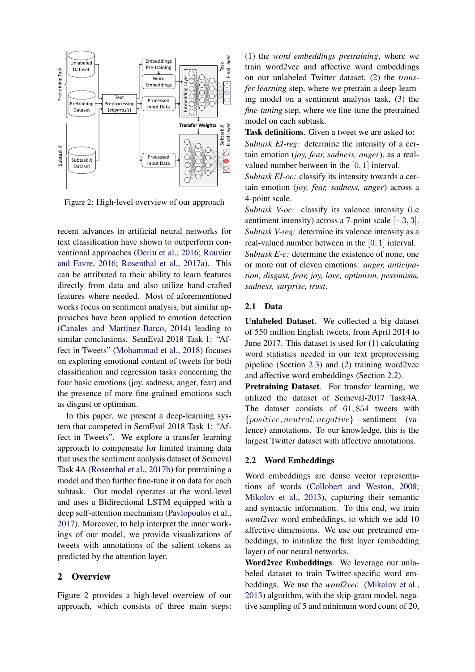<span id="page-1-0"></span>

Figure 2: High-level overview of our approach

recent advances in artificial neural networks for text classification have shown to outperform conventional approaches [\(Deriu et al.,](#page-8-5) [2016;](#page-8-5) [Rouvier](#page-9-7) [and Favre,](#page-9-7) [2016;](#page-9-7) [Rosenthal et al.,](#page-9-8) [2017a\)](#page-9-8). This can be attributed to their ability to learn features directly from data and also utilize hand-crafted features where needed. Most of aforementioned works focus on sentiment analysis, but similar approaches have been applied to emotion detection [\(Canales and Martínez-Barco,](#page-8-6) [2014\)](#page-8-6) leading to similar conclusions. SemEval 2018 Task 1: "Affect in Tweets" [\(Mohammad et al.,](#page-9-9) [2018\)](#page-9-9) focuses on exploring emotional content of tweets for both classification and regression tasks concerning the four basic emotions (joy, sadness, anger, fear) and the presence of more fine-grained emotions such as disgust or optimism.

In this paper, we present a deep-learning system that competed in SemEval 2018 Task 1: "Affect in Tweets". We explore a transfer learning approach to compensate for limited training data that uses the sentiment analysis dataset of Semeval Task 4A [\(Rosenthal et al.,](#page-9-10) [2017b\)](#page-9-10) for pretraining a model and then further fine-tune it on data for each subtask. Our model operates at the word-level and uses a Bidirectional LSTM equipped with a deep self-attention mechanism [\(Pavlopoulos et al.,](#page-9-11) [2017\)](#page-9-11). Moreover, to help interpret the inner workings of our model, we provide visualizations of tweets with annotations of the salient tokens as predicted by the attention layer.

## 2 Overview

Figure [2](#page-1-0) provides a high-level overview of our approach, which consists of three main steps:

(1) the *word embeddings pretraining*, where we train word2vec and affective word embeddings on our unlabeled Twitter dataset, (2) the *transfer learning* step, where we pretrain a deep-learning model on a sentiment analysis task, (3) the *fine-tuning* step, where we fine-tune the pretrained model on each subtask.

Task definitions. Given a tweet we are asked to: *Subtask EI-reg:* determine the intensity of a certain emotion (*joy, fear, sadness, anger*), as a realvalued number between in the [0, 1] interval.

*Subtask EI-oc:* classify its intensity towards a certain emotion (*joy, fear, sadness, anger*) across a 4-point scale.

*Subtask V-oc:* classify its valence intensity (i.e sentiment intensity) across a 7-point scale  $[-3, 3]$ . *Subtask V-reg:* determine its valence intensity as a real-valued number between in the [0, 1] interval.

*Subtask E-c:* determine the existence of none, one or more out of eleven emotions: *anger, anticipation, disgust, fear, joy, love, optimism, pessimism, sadness, surprise, trust*.

### 2.1 Data

Unlabeled Dataset. We collected a big dataset of 550 million English tweets, from April 2014 to June 2017. This dataset is used for (1) calculating word statistics needed in our text preprocessing pipeline (Section [2.3\)](#page-2-0) and (2) training word2vec and affective word embeddings (Section [2.2\)](#page-1-1).

Pretraining Dataset. For transfer learning, we utilized the dataset of Semeval-2017 Task4A. The dataset consists of 61, 854 tweets with {positive, neutral, negative} sentiment (valence) annotations. To our knowledge, this is the largest Twitter dataset with affective annotations.

## <span id="page-1-1"></span>2.2 Word Embeddings

Word embeddings are dense vector representations of words [\(Collobert and Weston,](#page-8-7) [2008;](#page-8-7) [Mikolov et al.,](#page-9-12) [2013\)](#page-9-12), capturing their semantic and syntactic information. To this end, we train *word2vec* word embeddings, to which we add 10 affective dimensions. We use our pretrained embeddings, to initialize the first layer (embedding layer) of our neural networks.

Word2vec Embeddings. We leverage our unlabeled dataset to train Twitter-specific word embeddings. We use the *word2vec* [\(Mikolov et al.,](#page-9-12) [2013\)](#page-9-12) algorithm, with the skip-gram model, negative sampling of 5 and minimum word count of 20,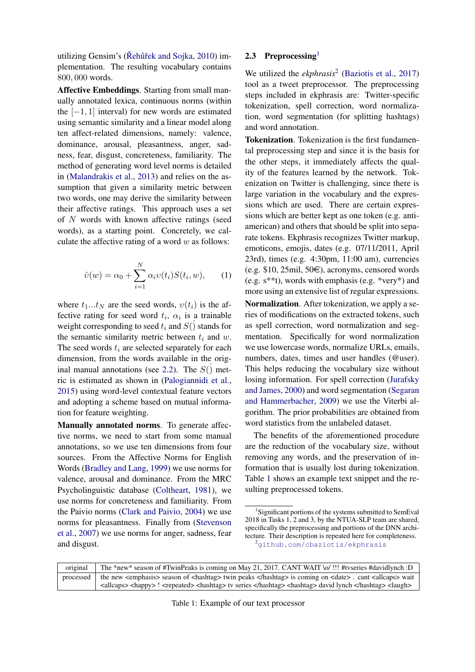utilizing Gensim's ( $\check{R}$ ehũřek and Sojka, [2010\)](#page-9-13) implementation. The resulting vocabulary contains 800, 000 words.

Affective Embeddings. Starting from small manually annotated lexica, continuous norms (within the  $[-1, 1]$  interval) for new words are estimated using semantic similarity and a linear model along ten affect-related dimensions, namely: valence, dominance, arousal, pleasantness, anger, sadness, fear, disgust, concreteness, familiarity. The method of generating word level norms is detailed in [\(Malandrakis et al.,](#page-9-14) [2013\)](#page-9-14) and relies on the assumption that given a similarity metric between two words, one may derive the similarity between their affective ratings. This approach uses a set of  $N$  words with known affective ratings (seed words), as a starting point. Concretely, we calculate the affective rating of a word  $w$  as follows:

<span id="page-2-1"></span>
$$
\hat{v}(w) = \alpha_0 + \sum_{i=1}^{N} \alpha_i v(t_i) S(t_i, w), \qquad (1)
$$

where  $t_1...t_N$  are the seed words,  $v(t_i)$  is the affective rating for seed word  $t_i$ ,  $\alpha_i$  is a trainable weight corresponding to seed  $t_i$  and  $S(j)$  stands for the semantic similarity metric between  $t_i$  and  $w$ . The seed words  $t_i$  are selected separately for each dimension, from the words available in the orig-inal manual annotations (see [2.2\)](#page-2-1). The  $S(\dot)$  metric is estimated as shown in [\(Palogiannidi et al.,](#page-9-15) [2015\)](#page-9-15) using word-level contextual feature vectors and adopting a scheme based on mutual information for feature weighting.

Manually annotated norms. To generate affective norms, we need to start from some manual annotations, so we use ten dimensions from four sources. From the Affective Norms for English Words [\(Bradley and Lang,](#page-8-8) [1999\)](#page-8-8) we use norms for valence, arousal and dominance. From the MRC Psycholinguistic database [\(Coltheart,](#page-8-9) [1981\)](#page-8-9), we use norms for concreteness and familiarity. From the Paivio norms [\(Clark and Paivio,](#page-8-10) [2004\)](#page-8-10) we use norms for pleasantness. Finally from [\(Stevenson](#page-10-1) [et al.,](#page-10-1) [2007\)](#page-10-1) we use norms for anger, sadness, fear and disgust.

## <span id="page-2-0"></span>2.3 Preprocessing $<sup>1</sup>$  $<sup>1</sup>$  $<sup>1</sup>$ </sup>

We utilized the *ekphrasis*<sup>[2](#page-2-3)</sup> [\(Baziotis et al.,](#page-8-11) [2017\)](#page-8-11) tool as a tweet preprocessor. The preprocessing steps included in ekphrasis are: Twitter-specific tokenization, spell correction, word normalization, word segmentation (for splitting hashtags) and word annotation.

Tokenization. Tokenization is the first fundamental preprocessing step and since it is the basis for the other steps, it immediately affects the quality of the features learned by the network. Tokenization on Twitter is challenging, since there is large variation in the vocabulary and the expressions which are used. There are certain expressions which are better kept as one token (e.g. antiamerican) and others that should be split into separate tokens. Ekphrasis recognizes Twitter markup, emoticons, emojis, dates (e.g. 07/11/2011, April 23rd), times (e.g. 4:30pm, 11:00 am), currencies (e.g. \$10, 25mil, 50 $\in$ ), acronyms, censored words (e.g. s\*\*t), words with emphasis (e.g. \*very\*) and more using an extensive list of regular expressions. Normalization. After tokenization, we apply a series of modifications on the extracted tokens, such as spell correction, word normalization and segmentation. Specifically for word normalization we use lowercase words, normalize URLs, emails, numbers, dates, times and user handles (@user). This helps reducing the vocabulary size without losing information. For spell correction [\(Jurafsky](#page-8-12) [and James,](#page-8-12) [2000\)](#page-8-12) and word segmentation [\(Segaran](#page-9-16) [and Hammerbacher,](#page-9-16) [2009\)](#page-9-16) we use the Viterbi algorithm. The prior probabilities are obtained from word statistics from the unlabeled dataset.

The benefits of the aforementioned procedure are the reduction of the vocabulary size, without removing any words, and the preservation of information that is usually lost during tokenization. Table [1](#page-2-4) shows an example text snippet and the resulting preprocessed tokens.

<span id="page-2-3"></span><sup>2</sup><github.com/cbaziotis/ekphrasis>

<span id="page-2-4"></span>

|           | original The *new* season of #TwinPeaks is coming on May 21, 2017. CANT WAIT \o/ !!! #tyseries #davidlynch :D                                                                                                                                                                        |
|-----------|--------------------------------------------------------------------------------------------------------------------------------------------------------------------------------------------------------------------------------------------------------------------------------------|
| processed | the new <emphasis> season of <hashtag> twin peaks </hashtag> is coming on <date>. cant <a><a>ll</a>caps&gt; wait</a></date></emphasis>                                                                                                                                               |
|           | $\langle \text{allcaps}\rangle$ $\langle \text{happy}\rangle$ ! $\langle \text{repeated}\rangle$ $\langle \text{hashtag}\rangle$ tv series $\langle \text{hashtag}\rangle$ $\langle \text{hashtag}\rangle$ david lynch $\langle \text{hashtag}\rangle$ $\langle \text{laugh}\rangle$ |

<span id="page-2-2"></span><sup>&</sup>lt;sup>1</sup>Significant portions of the systems submitted to SemEval 2018 in Tasks 1, 2 and 3, by the NTUA-SLP team are shared, specifically the preprocessing and portions of the DNN architecture. Their description is repeated here for completeness.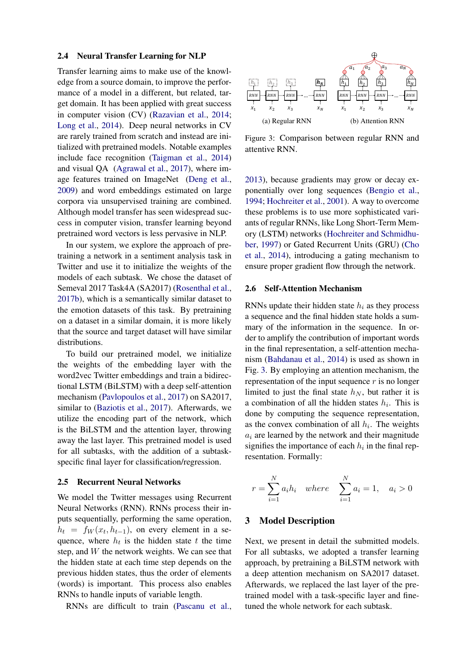#### 2.4 Neural Transfer Learning for NLP

Transfer learning aims to make use of the knowledge from a source domain, to improve the performance of a model in a different, but related, target domain. It has been applied with great success in computer vision (CV) [\(Razavian et al.,](#page-9-17) [2014;](#page-9-17) [Long et al.,](#page-9-18) [2014\)](#page-9-18). Deep neural networks in CV are rarely trained from scratch and instead are initialized with pretrained models. Notable examples include face recognition [\(Taigman et al.,](#page-10-2) [2014\)](#page-10-2) and visual QA [\(Agrawal et al.,](#page-8-13) [2017\)](#page-8-13), where image features trained on ImageNet [\(Deng et al.,](#page-8-14) [2009\)](#page-8-14) and word embeddings estimated on large corpora via unsupervised training are combined. Although model transfer has seen widespread success in computer vision, transfer learning beyond pretrained word vectors is less pervasive in NLP.

In our system, we explore the approach of pretraining a network in a sentiment analysis task in Twitter and use it to initialize the weights of the models of each subtask. We chose the dataset of Semeval 2017 Task4A (SA2017) [\(Rosenthal et al.,](#page-9-10) [2017b\)](#page-9-10), which is a semantically similar dataset to the emotion datasets of this task. By pretraining on a dataset in a similar domain, it is more likely that the source and target dataset will have similar distributions.

To build our pretrained model, we initialize the weights of the embedding layer with the word2vec Twitter embeddings and train a bidirectional LSTM (BiLSTM) with a deep self-attention mechanism [\(Pavlopoulos et al.,](#page-9-11) [2017\)](#page-9-11) on SA2017, similar to [\(Baziotis et al.,](#page-8-11) [2017\)](#page-8-11). Afterwards, we utilize the encoding part of the network, which is the BiLSTM and the attention layer, throwing away the last layer. This pretrained model is used for all subtasks, with the addition of a subtaskspecific final layer for classification/regression.

### 2.5 Recurrent Neural Networks

We model the Twitter messages using Recurrent Neural Networks (RNN). RNNs process their inputs sequentially, performing the same operation,  $h_t = f_W(x_t, h_{t-1})$ , on every element in a sequence, where  $h_t$  is the hidden state t the time step, and  $W$  the network weights. We can see that the hidden state at each time step depends on the previous hidden states, thus the order of elements (words) is important. This process also enables RNNs to handle inputs of variable length.

RNNs are difficult to train [\(Pascanu et al.,](#page-9-19)

<span id="page-3-0"></span>

Figure 3: Comparison between regular RNN and attentive RNN.

[2013\)](#page-9-19), because gradients may grow or decay exponentially over long sequences [\(Bengio et al.,](#page-8-15) [1994;](#page-8-15) [Hochreiter et al.,](#page-8-16) [2001\)](#page-8-16). A way to overcome these problems is to use more sophisticated variants of regular RNNs, like Long Short-Term Memory (LSTM) networks [\(Hochreiter and Schmidhu](#page-8-17)[ber,](#page-8-17) [1997\)](#page-8-17) or Gated Recurrent Units (GRU) [\(Cho](#page-8-18) [et al.,](#page-8-18) [2014\)](#page-8-18), introducing a gating mechanism to ensure proper gradient flow through the network.

#### <span id="page-3-1"></span>2.6 Self-Attention Mechanism

RNNs update their hidden state  $h_i$  as they process a sequence and the final hidden state holds a summary of the information in the sequence. In order to amplify the contribution of important words in the final representation, a self-attention mechanism [\(Bahdanau et al.,](#page-8-19) [2014\)](#page-8-19) is used as shown in Fig. [3.](#page-3-0) By employing an attention mechanism, the representation of the input sequence  $r$  is no longer limited to just the final state  $h_N$ , but rather it is a combination of all the hidden states  $h_i$ . This is done by computing the sequence representation, as the convex combination of all  $h_i$ . The weights  $a_i$  are learned by the network and their magnitude signifies the importance of each  $h_i$  in the final representation. Formally:

$$
r = \sum_{i=1}^{N} a_i h_i
$$
 where  $\sum_{i=1}^{N} a_i = 1$ ,  $a_i > 0$ 

#### 3 Model Description

Next, we present in detail the submitted models. For all subtasks, we adopted a transfer learning approach, by pretraining a BiLSTM network with a deep attention mechanism on SA2017 dataset. Afterwards, we replaced the last layer of the pretrained model with a task-specific layer and finetuned the whole network for each subtask.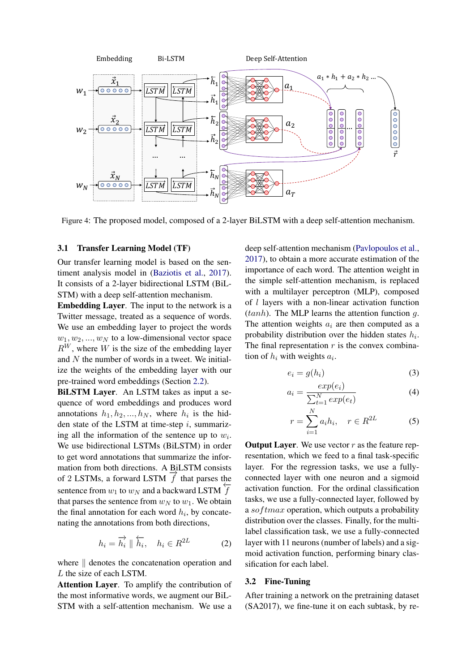

Figure 4: The proposed model, composed of a 2-layer BiLSTM with a deep self-attention mechanism.

#### 3.1 Transfer Learning Model (TF)

Our transfer learning model is based on the sentiment analysis model in [\(Baziotis et al.,](#page-8-11) [2017\)](#page-8-11). It consists of a 2-layer bidirectional LSTM (BiL-STM) with a deep self-attention mechanism.

Embedding Layer. The input to the network is a Twitter message, treated as a sequence of words. We use an embedding layer to project the words  $w_1, w_2, ..., w_N$  to a low-dimensional vector space  $R^{W}$ , where W is the size of the embedding layer and N the number of words in a tweet. We initialize the weights of the embedding layer with our pre-trained word embeddings (Section [2.2\)](#page-1-1).

BiLSTM Layer. An LSTM takes as input a sequence of word embeddings and produces word annotations  $h_1, h_2, ..., h_N$ , where  $h_i$  is the hidden state of the LSTM at time-step  $i$ , summarizing all the information of the sentence up to  $w_i$ . We use bidirectional LSTMs (BiLSTM) in order to get word annotations that summarize the information from both directions. A BiLSTM consists mation from both directions. A BILSTM CONSISTS of 2 LSTMs, a forward LSTM  $\overrightarrow{f}$  that parses the sentence from  $w_1$  to  $w_N$  and a backward LSTM  $\overline{f}$ that parses the sentence from  $w_N$  to  $w_1$ . We obtain the final annotation for each word  $h_i$ , by concatenating the annotations from both directions,

$$
h_i = \overrightarrow{h_i} \parallel \overleftarrow{h_i}, \quad h_i \in R^{2L} \tag{2}
$$

where  $\parallel$  denotes the concatenation operation and L the size of each LSTM.

Attention Layer. To amplify the contribution of the most informative words, we augment our BiL-STM with a self-attention mechanism. We use a

deep self-attention mechanism [\(Pavlopoulos et al.,](#page-9-11) [2017\)](#page-9-11), to obtain a more accurate estimation of the importance of each word. The attention weight in the simple self-attention mechanism, is replaced with a multilayer perceptron (MLP), composed of l layers with a non-linear activation function  $(tanh)$ . The MLP learns the attention function g. The attention weights  $a_i$  are then computed as a probability distribution over the hidden states  $h_i$ . The final representation  $r$  is the convex combination of  $h_i$  with weights  $a_i$ .

$$
e_i = g(h_i) \tag{3}
$$

$$
a_i = \frac{exp(e_i)}{\sum_{t=1}^{N} exp(e_t)}
$$
(4)

$$
r = \sum_{i=1}^{N} a_i h_i, \quad r \in R^{2L} \tag{5}
$$

**Output Layer.** We use vector  $r$  as the feature representation, which we feed to a final task-specific layer. For the regression tasks, we use a fullyconnected layer with one neuron and a sigmoid activation function. For the ordinal classification tasks, we use a fully-connected layer, followed by a  $softmax$  operation, which outputs a probability distribution over the classes. Finally, for the multilabel classification task, we use a fully-connected layer with 11 neurons (number of labels) and a sigmoid activation function, performing binary classification for each label.

### 3.2 Fine-Tuning

After training a network on the pretraining dataset (SA2017), we fine-tune it on each subtask, by re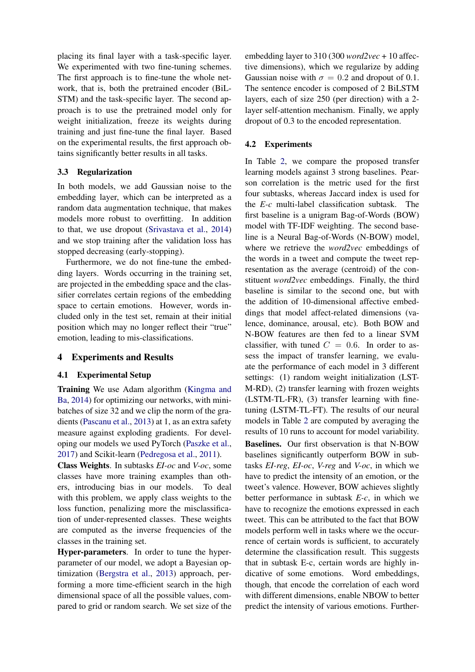placing its final layer with a task-specific layer. We experimented with two fine-tuning schemes. The first approach is to fine-tune the whole network, that is, both the pretrained encoder (BiL-STM) and the task-specific layer. The second approach is to use the pretrained model only for weight initialization, freeze its weights during training and just fine-tune the final layer. Based on the experimental results, the first approach obtains significantly better results in all tasks.

## 3.3 Regularization

In both models, we add Gaussian noise to the embedding layer, which can be interpreted as a random data augmentation technique, that makes models more robust to overfitting. In addition to that, we use dropout [\(Srivastava et al.,](#page-10-3) [2014\)](#page-10-3) and we stop training after the validation loss has stopped decreasing (early-stopping).

Furthermore, we do not fine-tune the embedding layers. Words occurring in the training set, are projected in the embedding space and the classifier correlates certain regions of the embedding space to certain emotions. However, words included only in the test set, remain at their initial position which may no longer reflect their "true" emotion, leading to mis-classifications.

## 4 Experiments and Results

## 4.1 Experimental Setup

Training We use Adam algorithm [\(Kingma and](#page-8-20) [Ba,](#page-8-20) [2014\)](#page-8-20) for optimizing our networks, with minibatches of size 32 and we clip the norm of the gradients [\(Pascanu et al.,](#page-9-19) [2013\)](#page-9-19) at 1, as an extra safety measure against exploding gradients. For developing our models we used PyTorch [\(Paszke et al.,](#page-9-20) [2017\)](#page-9-20) and Scikit-learn [\(Pedregosa et al.,](#page-9-21) [2011\)](#page-9-21).

Class Weights. In subtasks *EI-oc* and *V-oc*, some classes have more training examples than others, introducing bias in our models. To deal with this problem, we apply class weights to the loss function, penalizing more the misclassification of under-represented classes. These weights are computed as the inverse frequencies of the classes in the training set.

Hyper-parameters. In order to tune the hyperparameter of our model, we adopt a Bayesian optimization [\(Bergstra et al.,](#page-8-21) [2013\)](#page-8-21) approach, performing a more time-efficient search in the high dimensional space of all the possible values, compared to grid or random search. We set size of the

embedding layer to 310 (300 *word2vec* + 10 affective dimensions), which we regularize by adding Gaussian noise with  $\sigma = 0.2$  and dropout of 0.1. The sentence encoder is composed of 2 BiLSTM layers, each of size 250 (per direction) with a 2 layer self-attention mechanism. Finally, we apply dropout of 0.3 to the encoded representation.

## 4.2 Experiments

In Table [2,](#page-6-0) we compare the proposed transfer learning models against 3 strong baselines. Pearson correlation is the metric used for the first four subtasks, whereas Jaccard index is used for the *E-c* multi-label classification subtask. The first baseline is a unigram Bag-of-Words (BOW) model with TF-IDF weighting. The second baseline is a Neural Bag-of-Words (N-BOW) model, where we retrieve the *word2vec* embeddings of the words in a tweet and compute the tweet representation as the average (centroid) of the constituent *word2vec* embeddings. Finally, the third baseline is similar to the second one, but with the addition of 10-dimensional affective embeddings that model affect-related dimensions (valence, dominance, arousal, etc). Both BOW and N-BOW features are then fed to a linear SVM classifier, with tuned  $C = 0.6$ . In order to assess the impact of transfer learning, we evaluate the performance of each model in 3 different settings: (1) random weight initialization (LST-M-RD), (2) transfer learning with frozen weights (LSTM-TL-FR), (3) transfer learning with finetuning (LSTM-TL-FT). The results of our neural models in Table [2](#page-6-0) are computed by averaging the results of 10 runs to account for model variability.

Baselines. Our first observation is that N-BOW baselines significantly outperform BOW in subtasks *EI-reg*, *EI-oc*, *V-reg* and *V-oc*, in which we have to predict the intensity of an emotion, or the tweet's valence. However, BOW achieves slightly better performance in subtask *E-c*, in which we have to recognize the emotions expressed in each tweet. This can be attributed to the fact that BOW models perform well in tasks where we the occurrence of certain words is sufficient, to accurately determine the classification result. This suggests that in subtask E-c, certain words are highly indicative of some emotions. Word embeddings, though, that encode the correlation of each word with different dimensions, enable NBOW to better predict the intensity of various emotions. Further-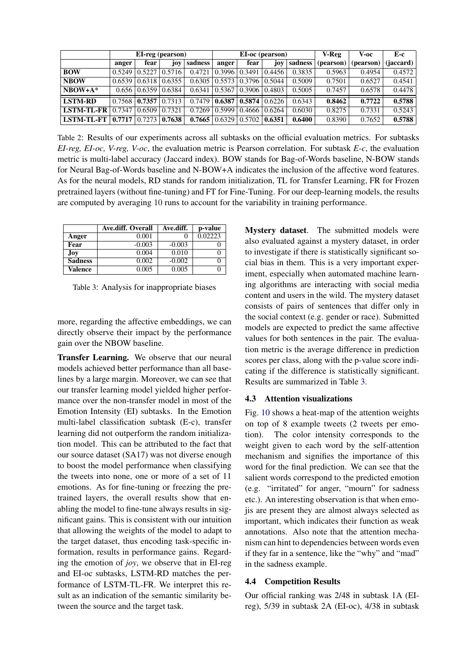<span id="page-6-0"></span>

|                   | EI-reg (pearson) |                                 |     | EI-oc (pearson)      |                      |        | V-Reg                | V-oc    | E-c       |           |           |
|-------------------|------------------|---------------------------------|-----|----------------------|----------------------|--------|----------------------|---------|-----------|-----------|-----------|
|                   | anger            | fear                            | joy | sadness              | anger                | fear   | joy                  | sadness | (pearson) | (pearson) | (iaccard) |
| <b>BOW</b>        | 0.5249           | $0.5227$ $0.5716$               |     | 0.4721               | 0.3996               | 0.3491 | 0.4456               | 0.3835  | 0.5963    | 0.4954    | 0.4572    |
| <b>NBOW</b>       | 0.6539           | $0.6318$ $0.6355$               |     |                      | $0.6305 \mid 0.5573$ | 0.3796 | 0.5044               | 0.5009  | 0.7501    | 0.6527    | 0.4541    |
| $NBOW+A*$         |                  | $0.656 \mid 0.6359 \mid 0.6384$ |     | $0.6341 \mid 0.5367$ |                      | 0.3906 | 0.4803               | 0.5005  | 0.7457    | 0.6578    | 0.4478    |
| <b>LSTM-RD</b>    | 0.7568           | $0.7357$ $0.7313$               |     | 0.7479               | 0.6387               |        | $0.5874 \mid 0.6226$ | 0.6343  | 0.8462    | 0.7722    | 0.5788    |
| <b>LSTM-TL-FR</b> | 0.7347           | $0.6509 \mid 0.7321$            |     | 0.7269               | 0.5999               | 0.4666 | 0.6264               | 0.6030  | 0.8275    | 0.7331    | 0.5243    |
| LSTM-TL-FT        | 0.7717           | $0.7273$ $0.7638$               |     | 0.7665               | 0.6329               | 0.5702 | 0.6351               | 0.6400  | 0.8390    | 0.7652    | 0.5788    |

Table 2: Results of our experiments across all subtasks on the official evaluation metrics. For subtasks *EI-reg, EI-oc, V-reg, V-oc*, the evaluation metric is Pearson correlation. For subtask *E-c*, the evaluation metric is multi-label accuracy (Jaccard index). BOW stands for Bag-of-Words baseline, N-BOW stands for Neural Bag-of-Words baseline and N-BOW+A indicates the inclusion of the affective word features. As for the neural models, RD stands for random initialization, TL for Transfer Learning, FR for Frozen pretrained layers (without fine-tuning) and FT for Fine-Tuning. For our deep-learning models, the results are computed by averaging 10 runs to account for the variability in training performance.

<span id="page-6-1"></span>

|                | Ave.diff. Overall | Ave.diff. | p-value |
|----------------|-------------------|-----------|---------|
| Anger          | 0.001             |           | 0.02223 |
| Fear           | $-0.003$          | $-0.003$  |         |
| Joy            | 0.004             | 0.010     |         |
| <b>Sadness</b> | 0.002             | $-0.002$  |         |
| Valence        | 0.005             | 0.005     |         |

Table 3: Analysis for inappropriate biases

more, regarding the affective embeddings, we can directly observe their impact by the performance gain over the NBOW baseline.

Transfer Learning. We observe that our neural models achieved better performance than all baselines by a large margin. Moreover, we can see that our transfer learning model yielded higher performance over the non-transfer model in most of the Emotion Intensity (EI) subtasks. In the Emotion multi-label classification subtask (E-c), transfer learning did not outperform the random initialization model. This can be attributed to the fact that our source dataset (SA17) was not diverse enough to boost the model performance when classifying the tweets into none, one or more of a set of 11 emotions. As for fine-tuning or freezing the pretrained layers, the overall results show that enabling the model to fine-tune always results in significant gains. This is consistent with our intuition that allowing the weights of the model to adapt to the target dataset, thus encoding task-specific information, results in performance gains. Regarding the emotion of *joy*, we observe that in EI-reg and EI-oc subtasks, LSTM-RD matches the performance of LSTM-TL-FR. We interpret this result as an indication of the semantic similarity between the source and the target task.

Mystery dataset. The submitted models were also evaluated against a mystery dataset, in order to investigate if there is statistically significant social bias in them. This is a very important experiment, especially when automated machine learning algorithms are interacting with social media content and users in the wild. The mystery dataset consists of pairs of sentences that differ only in the social context (e.g. gender or race). Submitted models are expected to predict the same affective values for both sentences in the pair. The evaluation metric is the average difference in prediction scores per class, along with the p-value score indicating if the difference is statistically significant. Results are summarized in Table [3.](#page-6-1)

## 4.3 Attention visualizations

Fig. [10](#page-7-0) shows a heat-map of the attention weights on top of 8 example tweets (2 tweets per emotion). The color intensity corresponds to the weight given to each word by the self-attention mechanism and signifies the importance of this word for the final prediction. We can see that the salient words correspond to the predicted emotion (e.g. "irritated" for anger, "mourn" for sadness etc.). An interesting observation is that when emojis are present they are almost always selected as important, which indicates their function as weak annotations. Also note that the attention mechanism can hint to dependencies between words even if they far in a sentence, like the "why" and "mad" in the sadness example.

### 4.4 Competition Results

Our official ranking was 2/48 in subtask 1A (EIreg), 5/39 in subtask 2A (EI-oc), 4/38 in subtask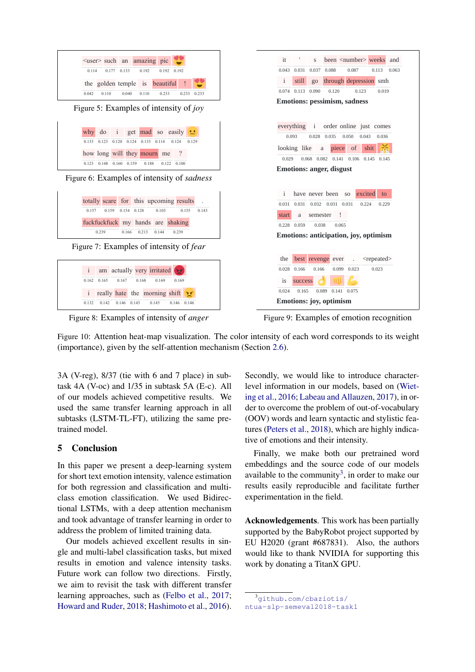<span id="page-7-0"></span>

Figure 10: Attention heat-map visualization. The color intensity of each word corresponds to its weight (importance), given by the self-attention mechanism (Section [2.6\)](#page-3-1).

3A (V-reg), 8/37 (tie with 6 and 7 place) in subtask 4A (V-oc) and 1/35 in subtask 5A (E-c). All of our models achieved competitive results. We used the same transfer learning approach in all subtasks (LSTM-TL-FT), utilizing the same pretrained model.

## 5 Conclusion

In this paper we present a deep-learning system for short text emotion intensity, valence estimation for both regression and classification and multiclass emotion classification. We used Bidirectional LSTMs, with a deep attention mechanism and took advantage of transfer learning in order to address the problem of limited training data.

Our models achieved excellent results in single and multi-label classification tasks, but mixed results in emotion and valence intensity tasks. Future work can follow two directions. Firstly, we aim to revisit the task with different transfer learning approaches, such as [\(Felbo et al.,](#page-8-22) [2017;](#page-8-22) [Howard and Ruder,](#page-8-23) [2018;](#page-8-23) [Hashimoto et al.,](#page-8-24) [2016\)](#page-8-24).

Secondly, we would like to introduce characterlevel information in our models, based on [\(Wiet](#page-10-4)[ing et al.,](#page-10-4) [2016;](#page-10-4) [Labeau and Allauzen,](#page-8-25) [2017\)](#page-8-25), in order to overcome the problem of out-of-vocabulary (OOV) words and learn syntactic and stylistic features [\(Peters et al.,](#page-9-22) [2018\)](#page-9-22), which are highly indicative of emotions and their intensity.

Finally, we make both our pretrained word embeddings and the source code of our models available to the community<sup>[3](#page-7-1)</sup>, in order to make our results easily reproducible and facilitate further experimentation in the field.

Acknowledgements. This work has been partially supported by the BabyRobot project supported by EU H2020 (grant #687831). Also, the authors would like to thank NVIDIA for supporting this work by donating a TitanX GPU.

<span id="page-7-1"></span><sup>3</sup>[github.com/cbaziotis/](github.com/cbaziotis/ntua-slp-semeval2018-task1)

[ntua-slp-semeval2018-task1](github.com/cbaziotis/ntua-slp-semeval2018-task1)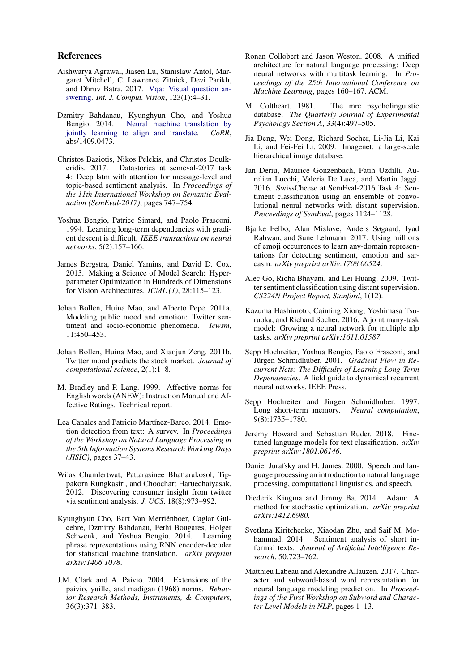## References

- <span id="page-8-13"></span>Aishwarya Agrawal, Jiasen Lu, Stanislaw Antol, Margaret Mitchell, C. Lawrence Zitnick, Devi Parikh, and Dhruv Batra. 2017. [Vqa: Visual question an](https://doi.org/10.1007/s11263-016-0966-6)[swering.](https://doi.org/10.1007/s11263-016-0966-6) *Int. J. Comput. Vision*, 123(1):4–31.
- <span id="page-8-19"></span>Dzmitry Bahdanau, Kyunghyun Cho, and Yoshua Bengio. 2014. [Neural machine translation by](http://arxiv.org/abs/1409.0473) [jointly learning to align and translate.](http://arxiv.org/abs/1409.0473) *CoRR*, abs/1409.0473.
- <span id="page-8-11"></span>Christos Baziotis, Nikos Pelekis, and Christos Doulkeridis. 2017. Datastories at semeval-2017 task 4: Deep lstm with attention for message-level and topic-based sentiment analysis. In *Proceedings of the 11th International Workshop on Semantic Evaluation (SemEval-2017)*, pages 747–754.
- <span id="page-8-15"></span>Yoshua Bengio, Patrice Simard, and Paolo Frasconi. 1994. Learning long-term dependencies with gradient descent is difficult. *IEEE transactions on neural networks*, 5(2):157–166.
- <span id="page-8-21"></span>James Bergstra, Daniel Yamins, and David D. Cox. 2013. Making a Science of Model Search: Hyperparameter Optimization in Hundreds of Dimensions for Vision Architectures. *ICML (1)*, 28:115–123.
- <span id="page-8-3"></span>Johan Bollen, Huina Mao, and Alberto Pepe. 2011a. Modeling public mood and emotion: Twitter sentiment and socio-economic phenomena. *Icwsm*, 11:450–453.
- <span id="page-8-1"></span>Johan Bollen, Huina Mao, and Xiaojun Zeng. 2011b. Twitter mood predicts the stock market. *Journal of computational science*, 2(1):1–8.
- <span id="page-8-8"></span>M. Bradley and P. Lang. 1999. Affective norms for English words (ANEW): Instruction Manual and Affective Ratings. Technical report.
- <span id="page-8-6"></span>Lea Canales and Patricio Martínez-Barco. 2014. Emotion detection from text: A survey. In *Proceedings of the Workshop on Natural Language Processing in the 5th Information Systems Research Working Days (JISIC)*, pages 37–43.
- <span id="page-8-0"></span>Wilas Chamlertwat, Pattarasinee Bhattarakosol, Tippakorn Rungkasiri, and Choochart Haruechaiyasak. 2012. Discovering consumer insight from twitter via sentiment analysis. *J. UCS*, 18(8):973–992.
- <span id="page-8-18"></span>Kyunghyun Cho, Bart Van Merriënboer, Caglar Gulcehre, Dzmitry Bahdanau, Fethi Bougares, Holger Schwenk, and Yoshua Bengio. 2014. Learning phrase representations using RNN encoder-decoder for statistical machine translation. *arXiv preprint arXiv:1406.1078*.
- <span id="page-8-10"></span>J.M. Clark and A. Paivio. 2004. Extensions of the paivio, yuille, and madigan (1968) norms. *Behavior Research Methods, Instruments, & Computers*, 36(3):371–383.
- <span id="page-8-7"></span>Ronan Collobert and Jason Weston. 2008. A unified architecture for natural language processing: Deep neural networks with multitask learning. In *Proceedings of the 25th International Conference on Machine Learning*, pages 160–167. ACM.
- <span id="page-8-9"></span>M. Coltheart. 1981. The mrc psycholinguistic database. *The Quarterly Journal of Experimental Psychology Section A*, 33(4):497–505.
- <span id="page-8-14"></span>Jia Deng, Wei Dong, Richard Socher, Li-Jia Li, Kai Li, and Fei-Fei Li. 2009. Imagenet: a large-scale hierarchical image database.
- <span id="page-8-5"></span>Jan Deriu, Maurice Gonzenbach, Fatih Uzdilli, Aurelien Lucchi, Valeria De Luca, and Martin Jaggi. 2016. SwissCheese at SemEval-2016 Task 4: Sentiment classification using an ensemble of convolutional neural networks with distant supervision. *Proceedings of SemEval*, pages 1124–1128.
- <span id="page-8-22"></span>Bjarke Felbo, Alan Mislove, Anders Søgaard, Iyad Rahwan, and Sune Lehmann. 2017. Using millions of emoji occurrences to learn any-domain representations for detecting sentiment, emotion and sarcasm. *arXiv preprint arXiv:1708.00524*.
- <span id="page-8-2"></span>Alec Go, Richa Bhayani, and Lei Huang. 2009. Twitter sentiment classification using distant supervision. *CS224N Project Report, Stanford*, 1(12).
- <span id="page-8-24"></span>Kazuma Hashimoto, Caiming Xiong, Yoshimasa Tsuruoka, and Richard Socher. 2016. A joint many-task model: Growing a neural network for multiple nlp tasks. *arXiv preprint arXiv:1611.01587*.
- <span id="page-8-16"></span>Sepp Hochreiter, Yoshua Bengio, Paolo Frasconi, and Jürgen Schmidhuber. 2001. *Gradient Flow in Recurrent Nets: The Difficulty of Learning Long-Term Dependencies*. A field guide to dynamical recurrent neural networks. IEEE Press.
- <span id="page-8-17"></span>Sepp Hochreiter and Jürgen Schmidhuber. 1997. Long short-term memory. *Neural computation*, 9(8):1735–1780.
- <span id="page-8-23"></span>Jeremy Howard and Sebastian Ruder. 2018. Finetuned language models for text classification. *arXiv preprint arXiv:1801.06146*.
- <span id="page-8-12"></span>Daniel Jurafsky and H. James. 2000. Speech and language processing an introduction to natural language processing, computational linguistics, and speech.
- <span id="page-8-20"></span>Diederik Kingma and Jimmy Ba. 2014. Adam: A method for stochastic optimization. *arXiv preprint arXiv:1412.6980*.
- <span id="page-8-4"></span>Svetlana Kiritchenko, Xiaodan Zhu, and Saif M. Mohammad. 2014. Sentiment analysis of short informal texts. *Journal of Artificial Intelligence Research*, 50:723–762.
- <span id="page-8-25"></span>Matthieu Labeau and Alexandre Allauzen. 2017. Character and subword-based word representation for neural language modeling prediction. In *Proceedings of the First Workshop on Subword and Character Level Models in NLP*, pages 1–13.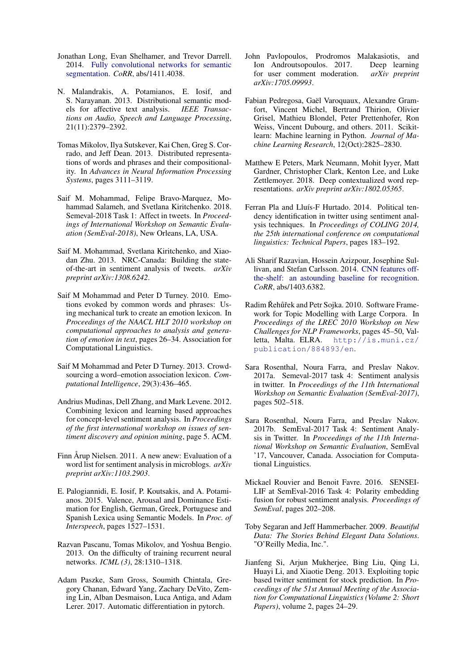- <span id="page-9-18"></span>Jonathan Long, Evan Shelhamer, and Trevor Darrell. 2014. [Fully convolutional networks for semantic](http://arxiv.org/abs/1411.4038) [segmentation.](http://arxiv.org/abs/1411.4038) *CoRR*, abs/1411.4038.
- <span id="page-9-14"></span>N. Malandrakis, A. Potamianos, E. Iosif, and S. Narayanan. 2013. Distributional semantic models for affective text analysis. *IEEE Transactions on Audio, Speech and Language Processing*, 21(11):2379–2392.
- <span id="page-9-12"></span>Tomas Mikolov, Ilya Sutskever, Kai Chen, Greg S. Corrado, and Jeff Dean. 2013. Distributed representations of words and phrases and their compositionality. In *Advances in Neural Information Processing Systems*, pages 3111–3119.
- <span id="page-9-9"></span>Saif M. Mohammad, Felipe Bravo-Marquez, Mohammad Salameh, and Svetlana Kiritchenko. 2018. Semeval-2018 Task 1: Affect in tweets. In *Proceedings of International Workshop on Semantic Evaluation (SemEval-2018)*, New Orleans, LA, USA.
- <span id="page-9-5"></span>Saif M. Mohammad, Svetlana Kiritchenko, and Xiaodan Zhu. 2013. NRC-Canada: Building the stateof-the-art in sentiment analysis of tweets. *arXiv preprint arXiv:1308.6242*.
- <span id="page-9-3"></span>Saif M Mohammad and Peter D Turney. 2010. Emotions evoked by common words and phrases: Using mechanical turk to create an emotion lexicon. In *Proceedings of the NAACL HLT 2010 workshop on computational approaches to analysis and generation of emotion in text*, pages 26–34. Association for Computational Linguistics.
- <span id="page-9-4"></span>Saif M Mohammad and Peter D Turney. 2013. Crowdsourcing a word–emotion association lexicon. *Computational Intelligence*, 29(3):436–465.
- <span id="page-9-6"></span>Andrius Mudinas, Dell Zhang, and Mark Levene. 2012. Combining lexicon and learning based approaches for concept-level sentiment analysis. In *Proceedings of the first international workshop on issues of sentiment discovery and opinion mining*, page 5. ACM.
- <span id="page-9-2"></span>Finn Årup Nielsen. 2011. A new anew: Evaluation of a word list for sentiment analysis in microblogs. *arXiv preprint arXiv:1103.2903*.
- <span id="page-9-15"></span>E. Palogiannidi, E. Iosif, P. Koutsakis, and A. Potamianos. 2015. Valence, Arousal and Dominance Estimation for English, German, Greek, Portuguese and Spanish Lexica using Semantic Models. In *Proc. of Interspeech*, pages 1527–1531.
- <span id="page-9-19"></span>Razvan Pascanu, Tomas Mikolov, and Yoshua Bengio. 2013. On the difficulty of training recurrent neural networks. *ICML (3)*, 28:1310–1318.
- <span id="page-9-20"></span>Adam Paszke, Sam Gross, Soumith Chintala, Gregory Chanan, Edward Yang, Zachary DeVito, Zeming Lin, Alban Desmaison, Luca Antiga, and Adam Lerer. 2017. Automatic differentiation in pytorch.
- <span id="page-9-11"></span>John Pavlopoulos, Prodromos Malakasiotis, and Ion Androutsopoulos. 2017. Deep learning for user comment moderation. *arXiv preprint arXiv:1705.09993*.
- <span id="page-9-21"></span>Fabian Pedregosa, Gaël Varoquaux, Alexandre Gramfort, Vincent Michel, Bertrand Thirion, Olivier Grisel, Mathieu Blondel, Peter Prettenhofer, Ron Weiss, Vincent Dubourg, and others. 2011. Scikitlearn: Machine learning in Python. *Journal of Machine Learning Research*, 12(Oct):2825–2830.
- <span id="page-9-22"></span>Matthew E Peters, Mark Neumann, Mohit Iyyer, Matt Gardner, Christopher Clark, Kenton Lee, and Luke Zettlemoyer. 2018. Deep contextualized word representations. *arXiv preprint arXiv:1802.05365*.
- <span id="page-9-0"></span>Ferran Pla and Lluís-F Hurtado. 2014. Political tendency identification in twitter using sentiment analysis techniques. In *Proceedings of COLING 2014, the 25th international conference on computational linguistics: Technical Papers*, pages 183–192.
- <span id="page-9-17"></span>Ali Sharif Razavian, Hossein Azizpour, Josephine Sullivan, and Stefan Carlsson. 2014. [CNN features off](http://arxiv.org/abs/1403.6382)[the-shelf: an astounding baseline for recognition.](http://arxiv.org/abs/1403.6382) *CoRR*, abs/1403.6382.
- <span id="page-9-13"></span>Radim Řehůřek and Petr Sojka. 2010. Software Framework for Topic Modelling with Large Corpora. In *Proceedings of the LREC 2010 Workshop on New Challenges for NLP Frameworks*, pages 45–50, Valletta, Malta. ELRA. [http://is.muni.cz/](http://is.muni.cz/publication/884893/en) [publication/884893/en](http://is.muni.cz/publication/884893/en).
- <span id="page-9-8"></span>Sara Rosenthal, Noura Farra, and Preslav Nakov. 2017a. Semeval-2017 task 4: Sentiment analysis in twitter. In *Proceedings of the 11th International Workshop on Semantic Evaluation (SemEval-2017)*, pages 502–518.
- <span id="page-9-10"></span>Sara Rosenthal, Noura Farra, and Preslav Nakov. 2017b. SemEval-2017 Task 4: Sentiment Analysis in Twitter. In *Proceedings of the 11th International Workshop on Semantic Evaluation*, SemEval '17, Vancouver, Canada. Association for Computational Linguistics.
- <span id="page-9-7"></span>Mickael Rouvier and Benoit Favre. 2016. SENSEI-LIF at SemEval-2016 Task 4: Polarity embedding fusion for robust sentiment analysis. *Proceedings of SemEval*, pages 202–208.
- <span id="page-9-16"></span>Toby Segaran and Jeff Hammerbacher. 2009. *Beautiful Data: The Stories Behind Elegant Data Solutions*. "O'Reilly Media, Inc.".
- <span id="page-9-1"></span>Jianfeng Si, Arjun Mukherjee, Bing Liu, Qing Li, Huayi Li, and Xiaotie Deng. 2013. Exploiting topic based twitter sentiment for stock prediction. In *Proceedings of the 51st Annual Meeting of the Association for Computational Linguistics (Volume 2: Short Papers)*, volume 2, pages 24–29.